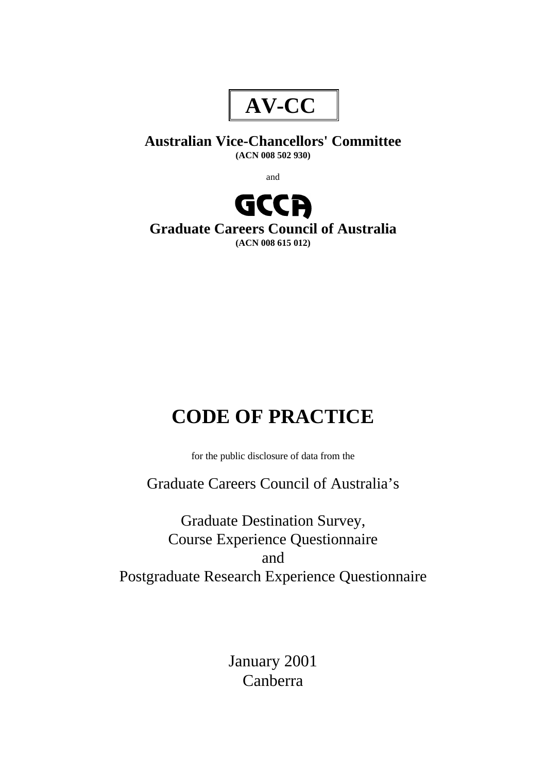

# **Australian Vice-Chancellors' Committee (ACN 008 502 930)**

and



**Graduate Careers Council of Australia (ACN 008 615 012)**

# **CODE OF PRACTICE**

for the public disclosure of data from the

Graduate Careers Council of Australia's

Graduate Destination Survey, Course Experience Questionnaire and Postgraduate Research Experience Questionnaire

> January 2001 Canberra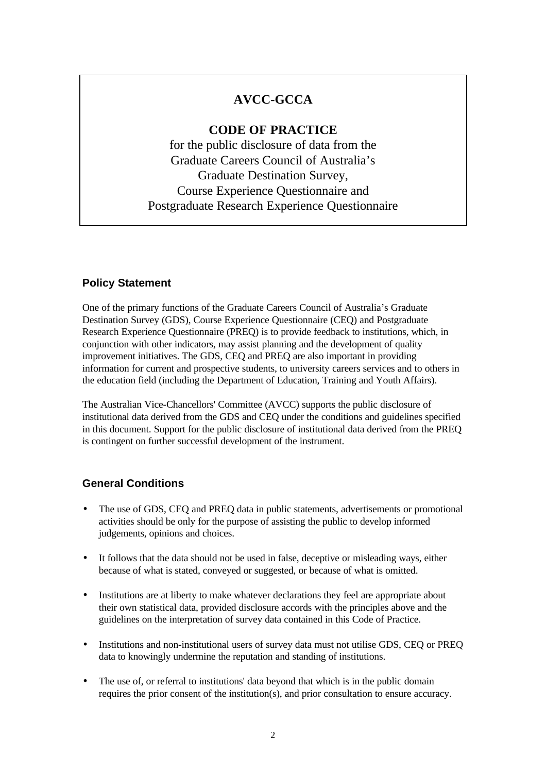# **AVCC-GCCA**

# **CODE OF PRACTICE**

for the public disclosure of data from the Graduate Careers Council of Australia's Graduate Destination Survey, Course Experience Questionnaire and Postgraduate Research Experience Questionnaire

### **Policy Statement**

One of the primary functions of the Graduate Careers Council of Australia's Graduate Destination Survey (GDS), Course Experience Questionnaire (CEQ) and Postgraduate Research Experience Questionnaire (PREQ) is to provide feedback to institutions, which, in conjunction with other indicators, may assist planning and the development of quality improvement initiatives. The GDS, CEQ and PREQ are also important in providing information for current and prospective students, to university careers services and to others in the education field (including the Department of Education, Training and Youth Affairs).

The Australian Vice-Chancellors' Committee (AVCC) supports the public disclosure of institutional data derived from the GDS and CEQ under the conditions and guidelines specified in this document. Support for the public disclosure of institutional data derived from the PREQ is contingent on further successful development of the instrument.

## **General Conditions**

- The use of GDS, CEQ and PREQ data in public statements, advertisements or promotional activities should be only for the purpose of assisting the public to develop informed judgements, opinions and choices.
- It follows that the data should not be used in false, deceptive or misleading ways, either because of what is stated, conveyed or suggested, or because of what is omitted.
- Institutions are at liberty to make whatever declarations they feel are appropriate about their own statistical data, provided disclosure accords with the principles above and the guidelines on the interpretation of survey data contained in this Code of Practice.
- Institutions and non-institutional users of survey data must not utilise GDS, CEQ or PREQ data to knowingly undermine the reputation and standing of institutions.
- The use of, or referral to institutions' data beyond that which is in the public domain requires the prior consent of the institution(s), and prior consultation to ensure accuracy.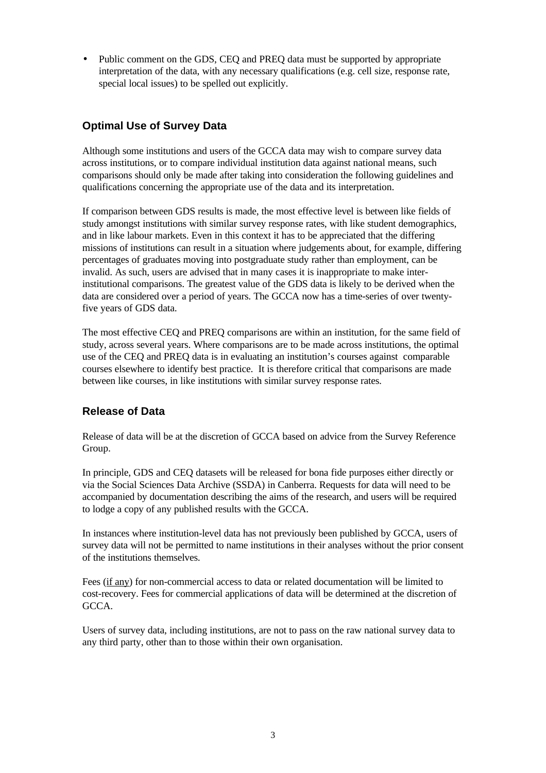• Public comment on the GDS, CEQ and PREQ data must be supported by appropriate interpretation of the data, with any necessary qualifications (e.g. cell size, response rate, special local issues) to be spelled out explicitly.

## **Optimal Use of Survey Data**

Although some institutions and users of the GCCA data may wish to compare survey data across institutions, or to compare individual institution data against national means, such comparisons should only be made after taking into consideration the following guidelines and qualifications concerning the appropriate use of the data and its interpretation.

If comparison between GDS results is made, the most effective level is between like fields of study amongst institutions with similar survey response rates, with like student demographics, and in like labour markets. Even in this context it has to be appreciated that the differing missions of institutions can result in a situation where judgements about, for example, differing percentages of graduates moving into postgraduate study rather than employment, can be invalid. As such, users are advised that in many cases it is inappropriate to make interinstitutional comparisons. The greatest value of the GDS data is likely to be derived when the data are considered over a period of years. The GCCA now has a time-series of over twentyfive years of GDS data.

The most effective CEQ and PREQ comparisons are within an institution, for the same field of study, across several years. Where comparisons are to be made across institutions, the optimal use of the CEQ and PREQ data is in evaluating an institution's courses against comparable courses elsewhere to identify best practice. It is therefore critical that comparisons are made between like courses, in like institutions with similar survey response rates.

#### **Release of Data**

Release of data will be at the discretion of GCCA based on advice from the Survey Reference Group.

In principle, GDS and CEQ datasets will be released for bona fide purposes either directly or via the Social Sciences Data Archive (SSDA) in Canberra. Requests for data will need to be accompanied by documentation describing the aims of the research, and users will be required to lodge a copy of any published results with the GCCA.

In instances where institution-level data has not previously been published by GCCA, users of survey data will not be permitted to name institutions in their analyses without the prior consent of the institutions themselves.

Fees (if any) for non-commercial access to data or related documentation will be limited to cost-recovery. Fees for commercial applications of data will be determined at the discretion of GCCA.

Users of survey data, including institutions, are not to pass on the raw national survey data to any third party, other than to those within their own organisation.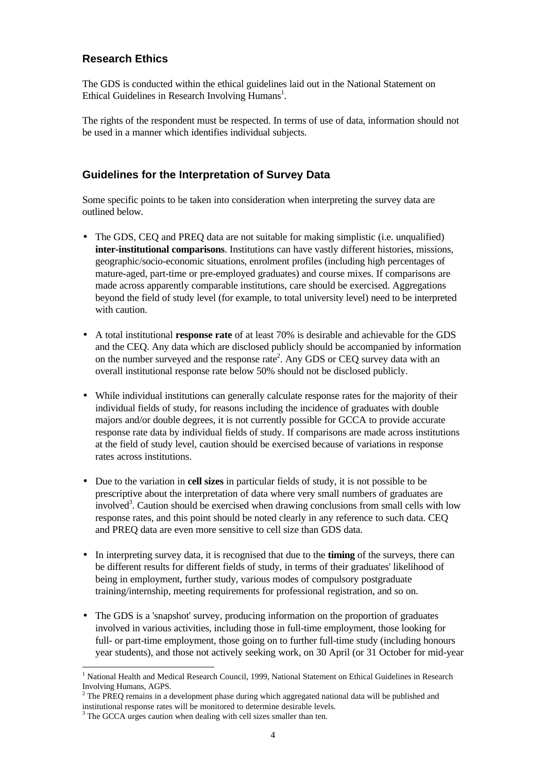#### **Research Ethics**

The GDS is conducted within the ethical guidelines laid out in the National Statement on Ethical Guidelines in Research Involving Humans<sup>1</sup>.

The rights of the respondent must be respected. In terms of use of data, information should not be used in a manner which identifies individual subjects.

### **Guidelines for the Interpretation of Survey Data**

Some specific points to be taken into consideration when interpreting the survey data are outlined below.

- The GDS, CEO and PREO data are not suitable for making simplistic (i.e. unqualified) **inter-institutional comparisons**. Institutions can have vastly different histories, missions, geographic/socio-economic situations, enrolment profiles (including high percentages of mature-aged, part-time or pre-employed graduates) and course mixes. If comparisons are made across apparently comparable institutions, care should be exercised. Aggregations beyond the field of study level (for example, to total university level) need to be interpreted with caution
- A total institutional **response rate** of at least 70% is desirable and achievable for the GDS and the CEQ. Any data which are disclosed publicly should be accompanied by information on the number surveyed and the response rate<sup>2</sup>. Any GDS or CEQ survey data with an overall institutional response rate below 50% should not be disclosed publicly.
- While individual institutions can generally calculate response rates for the majority of their individual fields of study, for reasons including the incidence of graduates with double majors and/or double degrees, it is not currently possible for GCCA to provide accurate response rate data by individual fields of study. If comparisons are made across institutions at the field of study level, caution should be exercised because of variations in response rates across institutions.
- Due to the variation in **cell sizes** in particular fields of study, it is not possible to be prescriptive about the interpretation of data where very small numbers of graduates are involved<sup>3</sup>. Caution should be exercised when drawing conclusions from small cells with low response rates, and this point should be noted clearly in any reference to such data. CEQ and PREQ data are even more sensitive to cell size than GDS data.
- In interpreting survey data, it is recognised that due to the **timing** of the surveys, there can be different results for different fields of study, in terms of their graduates' likelihood of being in employment, further study, various modes of compulsory postgraduate training/internship, meeting requirements for professional registration, and so on.
- The GDS is a 'snapshot' survey, producing information on the proportion of graduates involved in various activities, including those in full-time employment, those looking for full- or part-time employment, those going on to further full-time study (including honours year students), and those not actively seeking work, on 30 April (or 31 October for mid-year

-

<sup>&</sup>lt;sup>1</sup> National Health and Medical Research Council, 1999, National Statement on Ethical Guidelines in Research Involving Humans, AGPS.

 $2^2$  The PREQ remains in a development phase during which aggregated national data will be published and

institutional response rates will be monitored to determine desirable levels. 3 The GCCA urges caution when dealing with cell sizes smaller than ten.